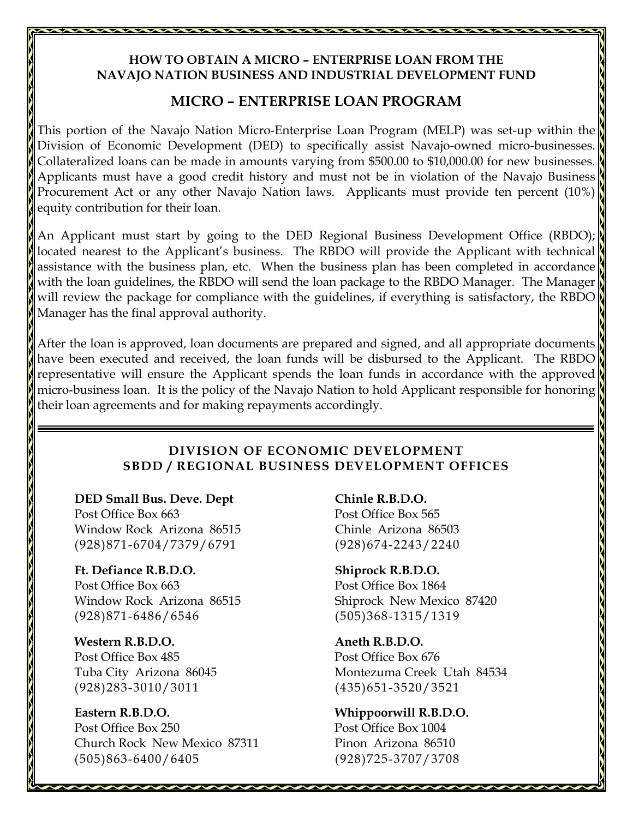# **HOW TO OBTAIN A MICRO – ENTERPRISE LOAN FROM THE NAVAJO NATION BUSINESS AND INDUSTRIAL DEVELOPMENT FUND**

# **MICRO – ENTERPRISE LOAN PROGRAM**

This portion of the Navajo Nation Micro-Enterprise Loan Program (MELP) was set-up within the Division of Economic Development (DED) to specifically assist Navajo-owned micro-businesses. Collateralized loans can be made in amounts varying from \$500.00 to \$10,000.00 for new businesses. Applicants must have a good credit history and must not be in violation of the Navajo Business Procurement Act or any other Navajo Nation laws. Applicants must provide ten percent (10%) equity contribution for their loan.

An Applicant must start by going to the DED Regional Business Development Office (RBDO); located nearest to the Applicant's business. The RBDO will provide the Applicant with technical assistance with the business plan, etc. When the business plan has been completed in accordance with the loan guidelines, the RBDO will send the loan package to the RBDO Manager. The Manager will review the package for compliance with the guidelines, if everything is satisfactory, the RBDO Manager has the final approval authority.

After the loan is approved, loan documents are prepared and signed, and all appropriate documents have been executed and received, the loan funds will be disbursed to the Applicant. The RBDO representative will ensure the Applicant spends the loan funds in accordance with the approved micro-business loan. It is the policy of the Navajo Nation to hold Applicant responsible for honoring their loan agreements and for making repayments accordingly.

# **DIVISION OF ECONOMIC DEVELOPMENT SBDD / REGIONAL BUSINESS DEVELOPMENT OFFICES**

DED Small Bus. Deve. Dept Chinle R.B.D.O. Post Office Box 663 Post Office Box 565 Window Rock Arizona 86515 Chinle Arizona 86503 (928)871-6704/7379/6791 (928)674-2243/2240

 **Ft. Defiance R.B.D.O. Shiprock R.B.D.O.**  Post Office Box 663 Post Office Box 1864 Window Rock Arizona 86515 Shiprock New Mexico 87420 (928)871-6486/6546 (505)368-1315/1319

 **Western R.B.D.O. Aneth R.B.D.O.**  Post Office Box 485 Post Office Box 676 (928)283-3010/3011 (435)651-3520/3521

 **Eastern R.B.D.O. Whippoorwill R.B.D.O.**  Post Office Box 250 Post Office Box 1004 Church Rock New Mexico 87311 Pinon Arizona 86510 (505)863-6400/6405 (928)725-3707/3708

Tuba City Arizona 86045 Montezuma Creek Utah 84534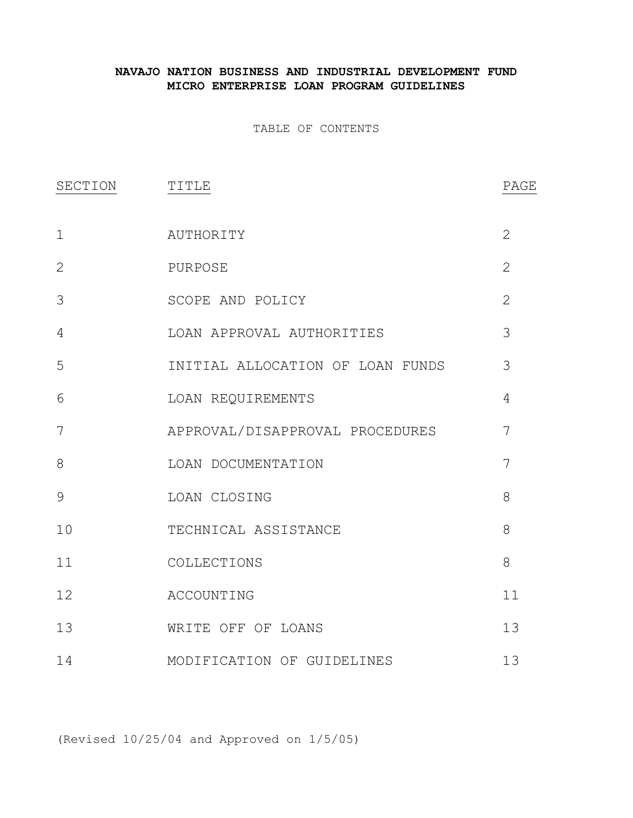# **NAVAJO NATION BUSINESS AND INDUSTRIAL DEVELOPMENT FUND MICRO ENTERPRISE LOAN PROGRAM GUIDELINES**

TABLE OF CONTENTS

| SECTION      | TITLE                            | PAGE           |
|--------------|----------------------------------|----------------|
| $\mathbf{1}$ | AUTHORITY                        | $\overline{2}$ |
| 2            | PURPOSE                          | $\overline{2}$ |
| 3            | SCOPE AND POLICY                 | $\overline{2}$ |
| 4            | LOAN APPROVAL AUTHORITIES        | 3              |
| 5            | INITIAL ALLOCATION OF LOAN FUNDS | 3              |
| 6            | LOAN REQUIREMENTS                | 4              |
| 7            | APPROVAL/DISAPPROVAL PROCEDURES  | 7              |
| 8            | LOAN DOCUMENTATION               | 7              |
| 9            | LOAN CLOSING                     | 8              |
| 10           | TECHNICAL ASSISTANCE             | 8              |
| 11           | COLLECTIONS                      | 8              |
| 12           | ACCOUNTING                       | 11             |
| 13           | WRITE OFF OF LOANS               | 13             |
| 14           | MODIFICATION OF GUIDELINES       | 13             |

(Revised 10/25/04 and Approved on 1/5/05)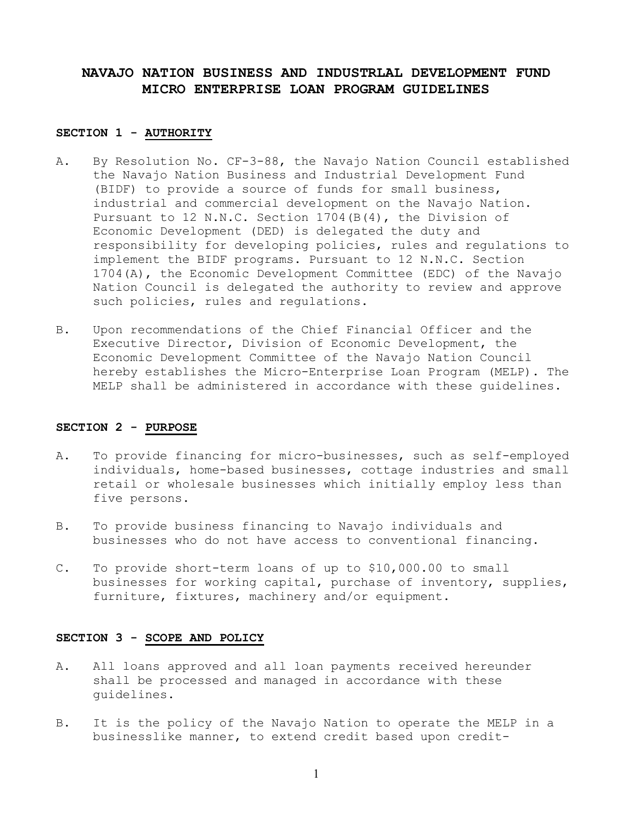# **NAVAJO NATION BUSINESS AND INDUSTRLAL DEVELOPMENT FUND MICRO ENTERPRISE LOAN PROGRAM GUIDELINES**

#### **SECTION 1 - AUTHORITY**

- A. By Resolution No. CF-3-88, the Navajo Nation Council established the Navajo Nation Business and Industrial Development Fund (BIDF) to provide a source of funds for small business, industrial and commercial development on the Navajo Nation. Pursuant to 12 N.N.C. Section 1704(B(4), the Division of Economic Development (DED) is delegated the duty and responsibility for developing policies, rules and regulations to implement the BIDF programs. Pursuant to 12 N.N.C. Section 1704(A), the Economic Development Committee (EDC) of the Navajo Nation Council is delegated the authority to review and approve such policies, rules and regulations.
- B. Upon recommendations of the Chief Financial Officer and the Executive Director, Division of Economic Development, the Economic Development Committee of the Navajo Nation Council hereby establishes the Micro-Enterprise Loan Program (MELP). The MELP shall be administered in accordance with these guidelines.

#### **SECTION 2 - PURPOSE**

- A. To provide financing for micro-businesses, such as self-employed individuals, home-based businesses, cottage industries and small retail or wholesale businesses which initially employ less than five persons.
- B. To provide business financing to Navajo individuals and businesses who do not have access to conventional financing.
- C. To provide short-term loans of up to \$10,000.00 to small businesses for working capital, purchase of inventory, supplies, furniture, fixtures, machinery and/or equipment.

# **SECTION 3 - SCOPE AND POLICY**

- A. All loans approved and all loan payments received hereunder shall be processed and managed in accordance with these guidelines.
- B. It is the policy of the Navajo Nation to operate the MELP in a businesslike manner, to extend credit based upon credit-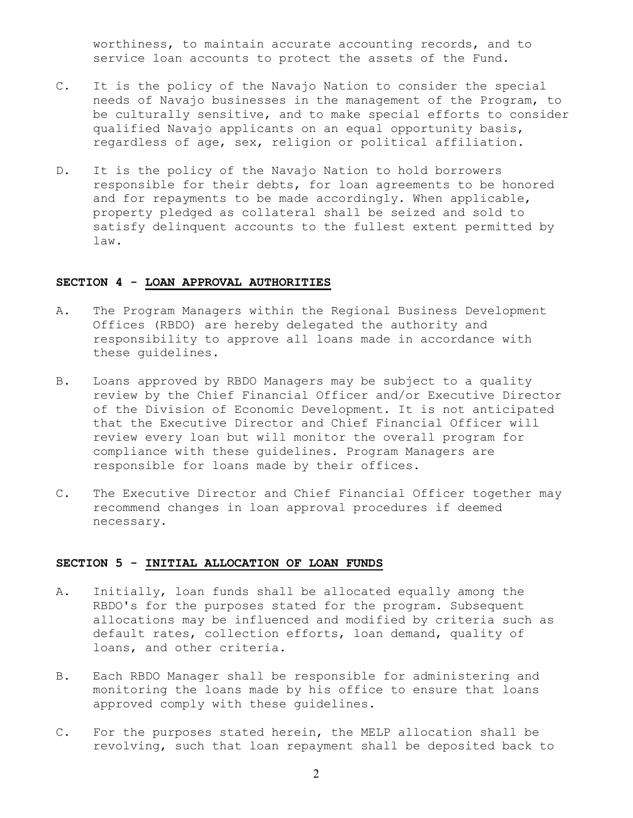worthiness, to maintain accurate accounting records, and to service loan accounts to protect the assets of the Fund.

- C. It is the policy of the Navajo Nation to consider the special needs of Navajo businesses in the management of the Program, to be culturally sensitive, and to make special efforts to consider qualified Navajo applicants on an equal opportunity basis, regardless of age, sex, religion or political affiliation.
- D. It is the policy of the Navajo Nation to hold borrowers responsible for their debts, for loan agreements to be honored and for repayments to be made accordingly. When applicable, property pledged as collateral shall be seized and sold to satisfy delinquent accounts to the fullest extent permitted by law.

#### **SECTION 4 - LOAN APPROVAL AUTHORITIES**

- A. The Program Managers within the Regional Business Development Offices (RBDO) are hereby delegated the authority and responsibility to approve all loans made in accordance with these guidelines.
- B. Loans approved by RBDO Managers may be subject to a quality review by the Chief Financial Officer and/or Executive Director of the Division of Economic Development. It is not anticipated that the Executive Director and Chief Financial Officer will review every loan but will monitor the overall program for compliance with these guidelines. Program Managers are responsible for loans made by their offices.
- C. The Executive Director and Chief Financial Officer together may recommend changes in loan approval procedures if deemed necessary.

### **SECTION 5 - INITIAL ALLOCATION OF LOAN FUNDS**

- A. Initially, loan funds shall be allocated equally among the RBDO's for the purposes stated for the program. Subsequent allocations may be influenced and modified by criteria such as default rates, collection efforts, loan demand, quality of loans, and other criteria.
- B. Each RBDO Manager shall be responsible for administering and monitoring the loans made by his office to ensure that loans approved comply with these guidelines.
- C. For the purposes stated herein, the MELP allocation shall be revolving, such that loan repayment shall be deposited back to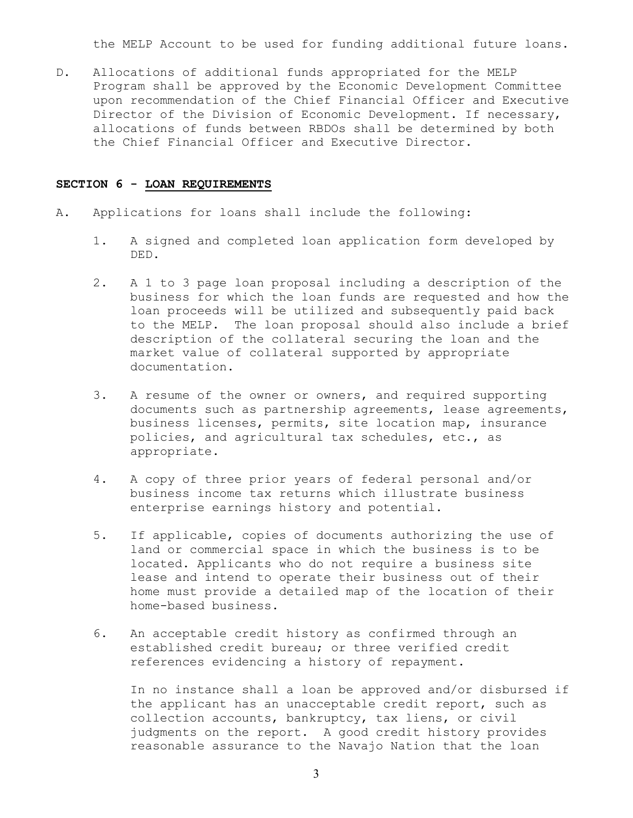the MELP Account to be used for funding additional future loans.

D. Allocations of additional funds appropriated for the MELP Program shall be approved by the Economic Development Committee upon recommendation of the Chief Financial Officer and Executive Director of the Division of Economic Development. If necessary, allocations of funds between RBDOs shall be determined by both the Chief Financial Officer and Executive Director.

## **SECTION 6 - LOAN REQUIREMENTS**

- A. Applications for loans shall include the following:
	- 1. A signed and completed loan application form developed by DED.
	- 2. A 1 to 3 page loan proposal including a description of the business for which the loan funds are requested and how the loan proceeds will be utilized and subsequently paid back to the MELP. The loan proposal should also include a brief description of the collateral securing the loan and the market value of collateral supported by appropriate documentation.
	- 3. A resume of the owner or owners, and required supporting documents such as partnership agreements, lease agreements, business licenses, permits, site location map, insurance policies, and agricultural tax schedules, etc., as appropriate.
	- 4. A copy of three prior years of federal personal and/or business income tax returns which illustrate business enterprise earnings history and potential.
	- 5. If applicable, copies of documents authorizing the use of land or commercial space in which the business is to be located. Applicants who do not require a business site lease and intend to operate their business out of their home must provide a detailed map of the location of their home-based business.
	- 6. An acceptable credit history as confirmed through an established credit bureau; or three verified credit references evidencing a history of repayment.

In no instance shall a loan be approved and/or disbursed if the applicant has an unacceptable credit report, such as collection accounts, bankruptcy, tax liens, or civil judgments on the report. A good credit history provides reasonable assurance to the Navajo Nation that the loan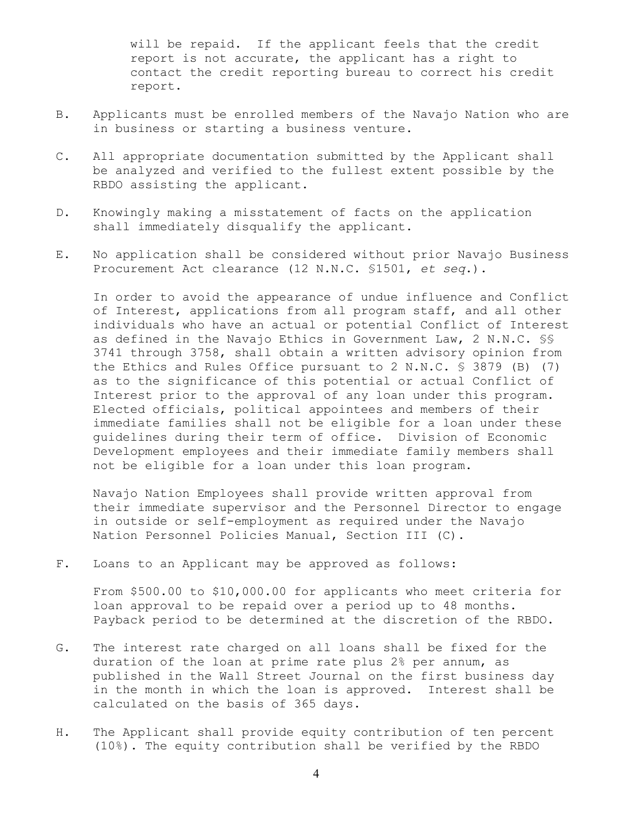will be repaid. If the applicant feels that the credit report is not accurate, the applicant has a right to contact the credit reporting bureau to correct his credit report.

- B. Applicants must be enrolled members of the Navajo Nation who are in business or starting a business venture.
- C. All appropriate documentation submitted by the Applicant shall be analyzed and verified to the fullest extent possible by the RBDO assisting the applicant.
- D. Knowingly making a misstatement of facts on the application shall immediately disqualify the applicant.
- E. No application shall be considered without prior Navajo Business Procurement Act clearance (12 N.N.C. §1501, *et seq*.).

 In order to avoid the appearance of undue influence and Conflict of Interest, applications from all program staff, and all other individuals who have an actual or potential Conflict of Interest as defined in the Navajo Ethics in Government Law, 2 N.N.C. §§ 3741 through 3758, shall obtain a written advisory opinion from the Ethics and Rules Office pursuant to 2 N.N.C. § 3879 (B) (7) as to the significance of this potential or actual Conflict of Interest prior to the approval of any loan under this program. Elected officials, political appointees and members of their immediate families shall not be eligible for a loan under these guidelines during their term of office. Division of Economic Development employees and their immediate family members shall not be eligible for a loan under this loan program.

 Navajo Nation Employees shall provide written approval from their immediate supervisor and the Personnel Director to engage in outside or self-employment as required under the Navajo Nation Personnel Policies Manual, Section III (C).

F. Loans to an Applicant may be approved as follows:

 From \$500.00 to \$10,000.00 for applicants who meet criteria for loan approval to be repaid over a period up to 48 months. Payback period to be determined at the discretion of the RBDO.

- G. The interest rate charged on all loans shall be fixed for the duration of the loan at prime rate plus 2% per annum, as published in the Wall Street Journal on the first business day in the month in which the loan is approved. Interest shall be calculated on the basis of 365 days.
- H. The Applicant shall provide equity contribution of ten percent (10%). The equity contribution shall be verified by the RBDO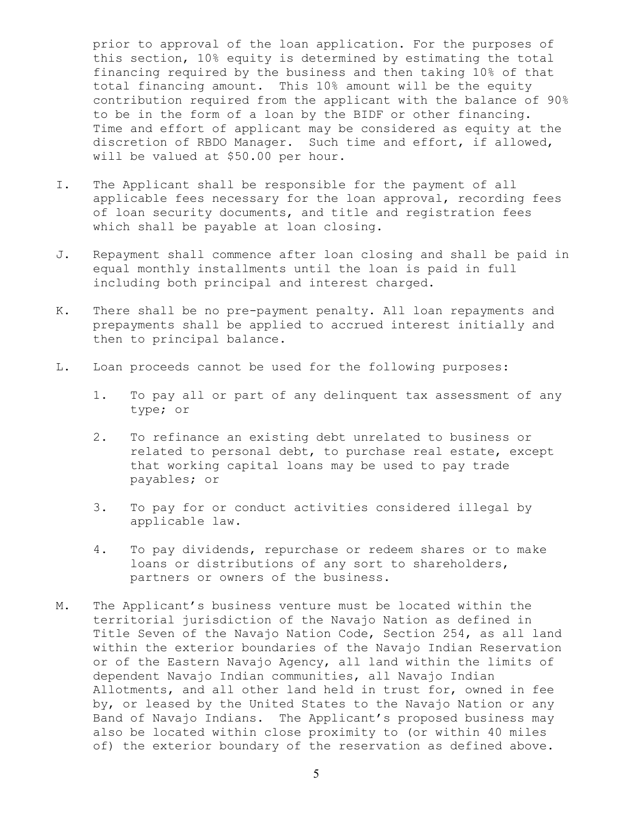prior to approval of the loan application. For the purposes of this section, 10% equity is determined by estimating the total financing required by the business and then taking 10% of that total financing amount. This 10% amount will be the equity contribution required from the applicant with the balance of 90% to be in the form of a loan by the BIDF or other financing. Time and effort of applicant may be considered as equity at the discretion of RBDO Manager. Such time and effort, if allowed, will be valued at \$50.00 per hour.

- I. The Applicant shall be responsible for the payment of all applicable fees necessary for the loan approval, recording fees of loan security documents, and title and registration fees which shall be payable at loan closing.
- J. Repayment shall commence after loan closing and shall be paid in equal monthly installments until the loan is paid in full including both principal and interest charged.
- K. There shall be no pre-payment penalty. All loan repayments and prepayments shall be applied to accrued interest initially and then to principal balance.
- L. Loan proceeds cannot be used for the following purposes:
	- 1. To pay all or part of any delinquent tax assessment of any type; or
	- 2. To refinance an existing debt unrelated to business or related to personal debt, to purchase real estate, except that working capital loans may be used to pay trade payables; or
	- 3. To pay for or conduct activities considered illegal by applicable law.
	- 4. To pay dividends, repurchase or redeem shares or to make loans or distributions of any sort to shareholders, partners or owners of the business.
- M. The Applicant's business venture must be located within the territorial jurisdiction of the Navajo Nation as defined in Title Seven of the Navajo Nation Code, Section 254, as all land within the exterior boundaries of the Navajo Indian Reservation or of the Eastern Navajo Agency, all land within the limits of dependent Navajo Indian communities, all Navajo Indian Allotments, and all other land held in trust for, owned in fee by, or leased by the United States to the Navajo Nation or any Band of Navajo Indians. The Applicant's proposed business may also be located within close proximity to (or within 40 miles of) the exterior boundary of the reservation as defined above.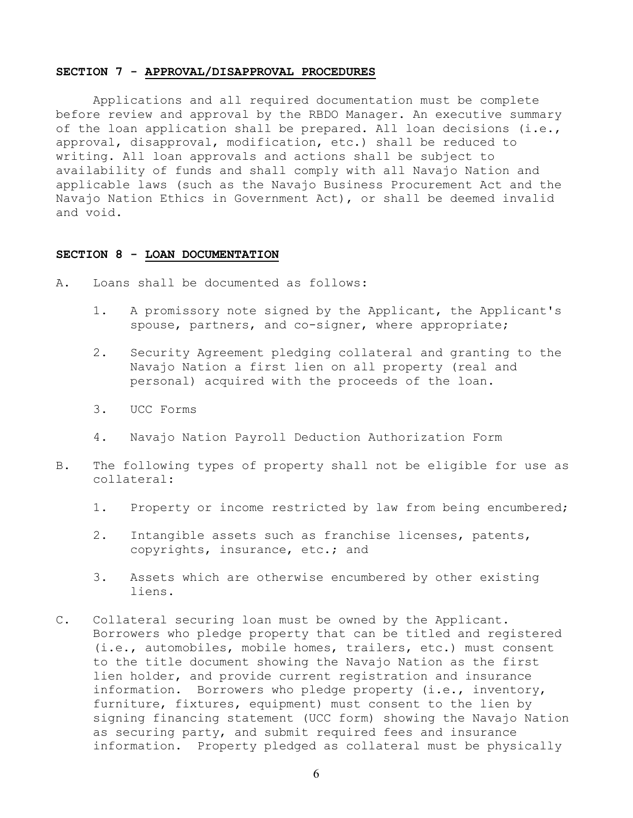#### **SECTION 7 - APPROVAL/DISAPPROVAL PROCEDURES**

Applications and all required documentation must be complete before review and approval by the RBDO Manager. An executive summary of the loan application shall be prepared. All loan decisions (i.e., approval, disapproval, modification, etc.) shall be reduced to writing. All loan approvals and actions shall be subject to availability of funds and shall comply with all Navajo Nation and applicable laws (such as the Navajo Business Procurement Act and the Navajo Nation Ethics in Government Act), or shall be deemed invalid and void.

#### **SECTION 8 - LOAN DOCUMENTATION**

- A. Loans shall be documented as follows:
	- 1. A promissory note signed by the Applicant, the Applicant's spouse, partners, and co-signer, where appropriate;
	- 2. Security Agreement pledging collateral and granting to the Navajo Nation a first lien on all property (real and personal) acquired with the proceeds of the loan.
	- 3. UCC Forms
	- 4. Navajo Nation Payroll Deduction Authorization Form
- B. The following types of property shall not be eligible for use as collateral:
	- 1. Property or income restricted by law from being encumbered;
	- 2. Intangible assets such as franchise licenses, patents, copyrights, insurance, etc.; and
	- 3. Assets which are otherwise encumbered by other existing liens.
- C. Collateral securing loan must be owned by the Applicant. Borrowers who pledge property that can be titled and registered (i.e., automobiles, mobile homes, trailers, etc.) must consent to the title document showing the Navajo Nation as the first lien holder, and provide current registration and insurance information. Borrowers who pledge property (i.e., inventory, furniture, fixtures, equipment) must consent to the lien by signing financing statement (UCC form) showing the Navajo Nation as securing party, and submit required fees and insurance information. Property pledged as collateral must be physically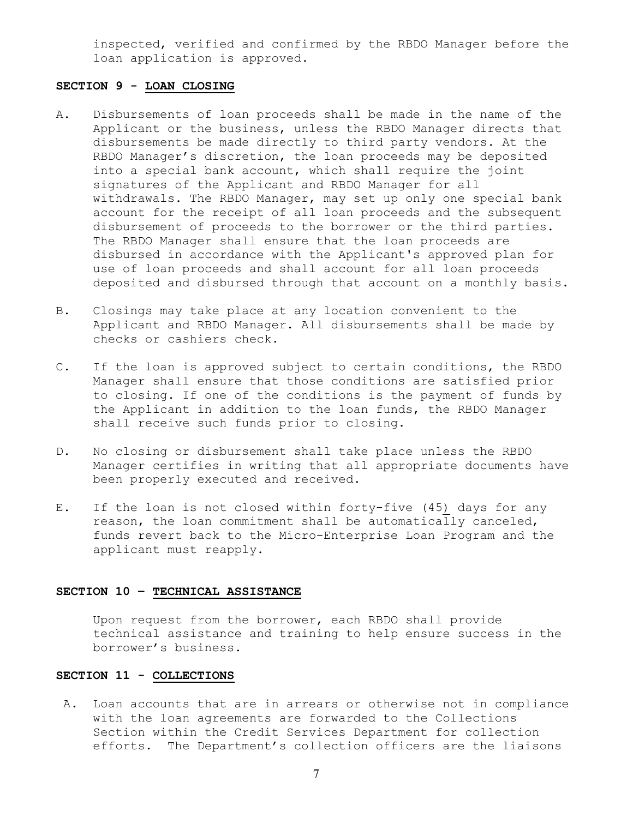inspected, verified and confirmed by the RBDO Manager before the loan application is approved.

## **SECTION 9 - LOAN CLOSING**

- A. Disbursements of loan proceeds shall be made in the name of the Applicant or the business, unless the RBDO Manager directs that disbursements be made directly to third party vendors. At the RBDO Manager's discretion, the loan proceeds may be deposited into a special bank account, which shall require the joint signatures of the Applicant and RBDO Manager for all withdrawals. The RBDO Manager, may set up only one special bank account for the receipt of all loan proceeds and the subsequent disbursement of proceeds to the borrower or the third parties. The RBDO Manager shall ensure that the loan proceeds are disbursed in accordance with the Applicant's approved plan for use of loan proceeds and shall account for all loan proceeds deposited and disbursed through that account on a monthly basis.
- B. Closings may take place at any location convenient to the Applicant and RBDO Manager. All disbursements shall be made by checks or cashiers check.
- C. If the loan is approved subject to certain conditions, the RBDO Manager shall ensure that those conditions are satisfied prior to closing. If one of the conditions is the payment of funds by the Applicant in addition to the loan funds, the RBDO Manager shall receive such funds prior to closing.
- D. No closing or disbursement shall take place unless the RBDO Manager certifies in writing that all appropriate documents have been properly executed and received.
- E. If the loan is not closed within forty-five (45) days for any reason, the loan commitment shall be automatically canceled, funds revert back to the Micro-Enterprise Loan Program and the applicant must reapply.

# **SECTION 10 – TECHNICAL ASSISTANCE**

 Upon request from the borrower, each RBDO shall provide technical assistance and training to help ensure success in the borrower's business.

## **SECTION 11 - COLLECTIONS**

 A. Loan accounts that are in arrears or otherwise not in compliance with the loan agreements are forwarded to the Collections Section within the Credit Services Department for collection efforts. The Department's collection officers are the liaisons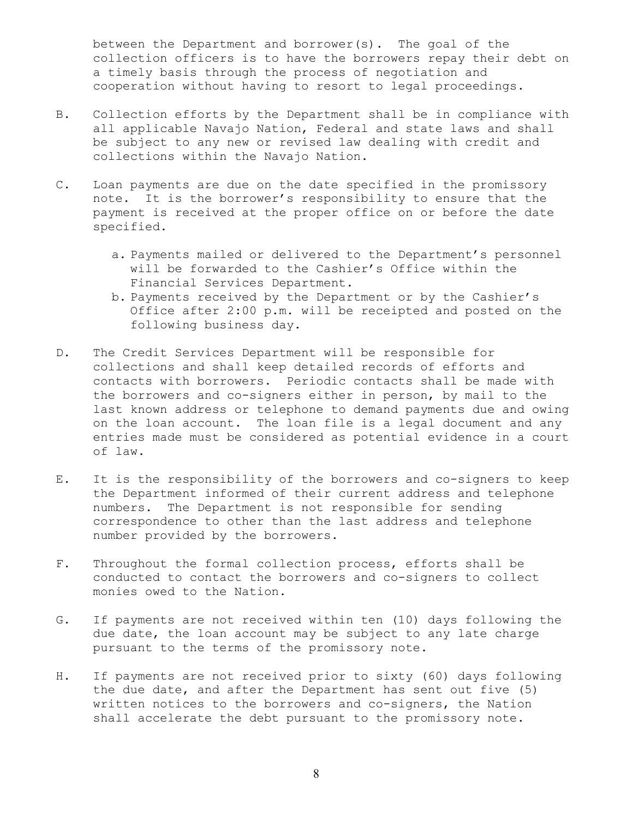between the Department and borrower(s). The goal of the collection officers is to have the borrowers repay their debt on a timely basis through the process of negotiation and cooperation without having to resort to legal proceedings.

- B. Collection efforts by the Department shall be in compliance with all applicable Navajo Nation, Federal and state laws and shall be subject to any new or revised law dealing with credit and collections within the Navajo Nation.
- C. Loan payments are due on the date specified in the promissory note. It is the borrower's responsibility to ensure that the payment is received at the proper office on or before the date specified.
	- a. Payments mailed or delivered to the Department's personnel will be forwarded to the Cashier's Office within the Financial Services Department.
	- b. Payments received by the Department or by the Cashier's Office after 2:00 p.m. will be receipted and posted on the following business day.
- D. The Credit Services Department will be responsible for collections and shall keep detailed records of efforts and contacts with borrowers. Periodic contacts shall be made with the borrowers and co-signers either in person, by mail to the last known address or telephone to demand payments due and owing on the loan account. The loan file is a legal document and any entries made must be considered as potential evidence in a court of law.
- E. It is the responsibility of the borrowers and co-signers to keep the Department informed of their current address and telephone numbers. The Department is not responsible for sending correspondence to other than the last address and telephone number provided by the borrowers.
- F. Throughout the formal collection process, efforts shall be conducted to contact the borrowers and co-signers to collect monies owed to the Nation.
- G. If payments are not received within ten (10) days following the due date, the loan account may be subject to any late charge pursuant to the terms of the promissory note.
- H. If payments are not received prior to sixty (60) days following the due date, and after the Department has sent out five (5) written notices to the borrowers and co-signers, the Nation shall accelerate the debt pursuant to the promissory note.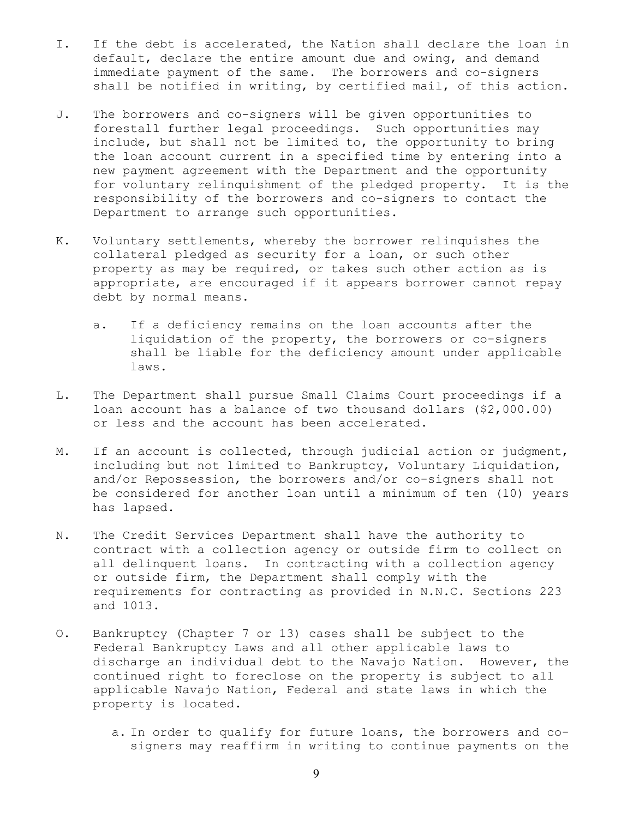- I. If the debt is accelerated, the Nation shall declare the loan in default, declare the entire amount due and owing, and demand immediate payment of the same. The borrowers and co-signers shall be notified in writing, by certified mail, of this action.
- J. The borrowers and co-signers will be given opportunities to forestall further legal proceedings. Such opportunities may include, but shall not be limited to, the opportunity to bring the loan account current in a specified time by entering into a new payment agreement with the Department and the opportunity for voluntary relinquishment of the pledged property. It is the responsibility of the borrowers and co-signers to contact the Department to arrange such opportunities.
- K. Voluntary settlements, whereby the borrower relinquishes the collateral pledged as security for a loan, or such other property as may be required, or takes such other action as is appropriate, are encouraged if it appears borrower cannot repay debt by normal means.
	- a. If a deficiency remains on the loan accounts after the liquidation of the property, the borrowers or co-signers shall be liable for the deficiency amount under applicable laws.
- L. The Department shall pursue Small Claims Court proceedings if a loan account has a balance of two thousand dollars (\$2,000.00) or less and the account has been accelerated.
- M. If an account is collected, through judicial action or judgment, including but not limited to Bankruptcy, Voluntary Liquidation, and/or Repossession, the borrowers and/or co-signers shall not be considered for another loan until a minimum of ten (10) years has lapsed.
- N. The Credit Services Department shall have the authority to contract with a collection agency or outside firm to collect on all delinquent loans. In contracting with a collection agency or outside firm, the Department shall comply with the requirements for contracting as provided in N.N.C. Sections 223 and 1013.
- O. Bankruptcy (Chapter 7 or 13) cases shall be subject to the Federal Bankruptcy Laws and all other applicable laws to discharge an individual debt to the Navajo Nation. However, the continued right to foreclose on the property is subject to all applicable Navajo Nation, Federal and state laws in which the property is located.
	- a. In order to qualify for future loans, the borrowers and co signers may reaffirm in writing to continue payments on the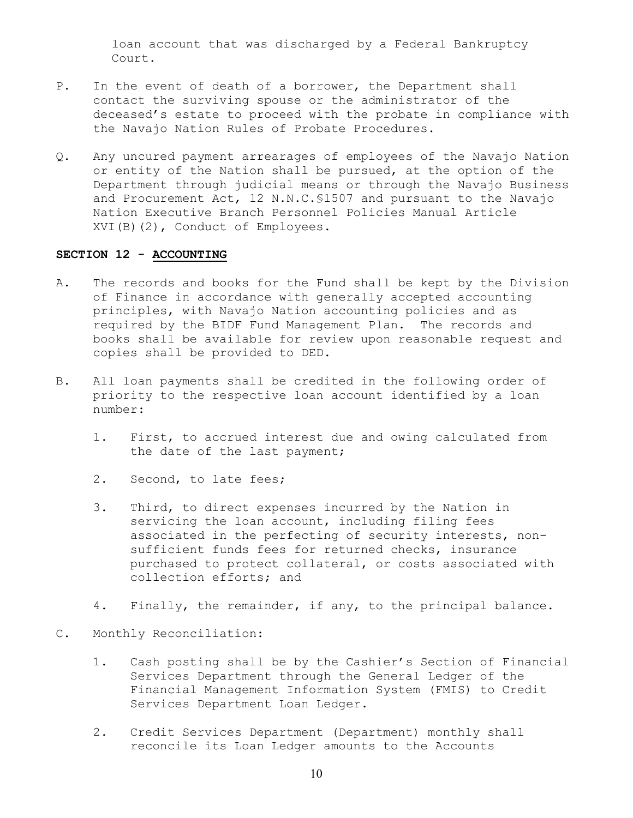loan account that was discharged by a Federal Bankruptcy Court.

- P. In the event of death of a borrower, the Department shall contact the surviving spouse or the administrator of the deceased's estate to proceed with the probate in compliance with the Navajo Nation Rules of Probate Procedures.
- Q. Any uncured payment arrearages of employees of the Navajo Nation or entity of the Nation shall be pursued, at the option of the Department through judicial means or through the Navajo Business and Procurement Act, 12 N.N.C.§1507 and pursuant to the Navajo Nation Executive Branch Personnel Policies Manual Article XVI(B)(2), Conduct of Employees.

### **SECTION 12 - ACCOUNTING**

- A. The records and books for the Fund shall be kept by the Division of Finance in accordance with generally accepted accounting principles, with Navajo Nation accounting policies and as required by the BIDF Fund Management Plan. The records and books shall be available for review upon reasonable request and copies shall be provided to DED.
- B. All loan payments shall be credited in the following order of priority to the respective loan account identified by a loan number:
	- 1. First, to accrued interest due and owing calculated from the date of the last payment;
	- 2. Second, to late fees;
	- 3. Third, to direct expenses incurred by the Nation in servicing the loan account, including filing fees associated in the perfecting of security interests, nonsufficient funds fees for returned checks, insurance purchased to protect collateral, or costs associated with collection efforts; and
	- 4. Finally, the remainder, if any, to the principal balance.
- C. Monthly Reconciliation:
	- 1. Cash posting shall be by the Cashier's Section of Financial Services Department through the General Ledger of the Financial Management Information System (FMIS) to Credit Services Department Loan Ledger.
	- 2. Credit Services Department (Department) monthly shall reconcile its Loan Ledger amounts to the Accounts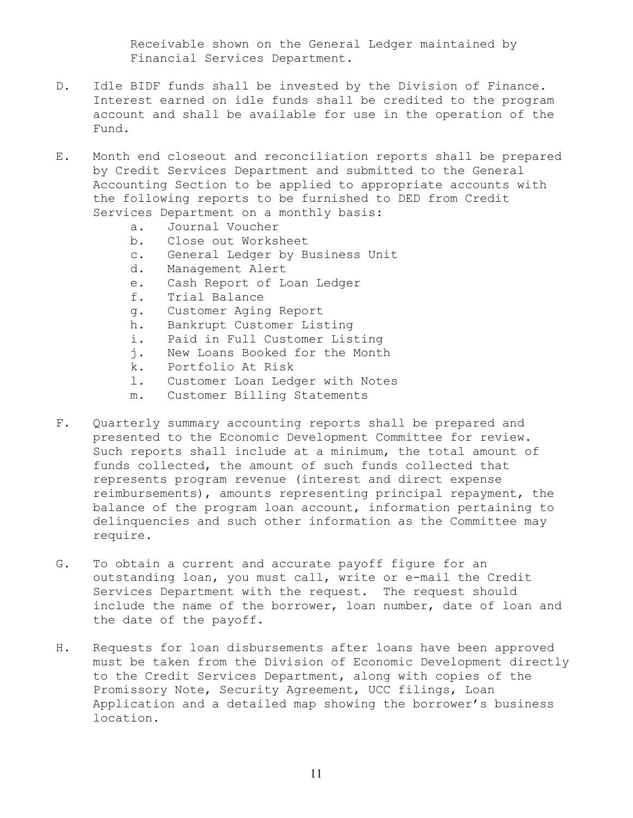Receivable shown on the General Ledger maintained by Financial Services Department.

- D. Idle BIDF funds shall be invested by the Division of Finance. Interest earned on idle funds shall be credited to the program account and shall be available for use in the operation of the Fund.
- E. Month end closeout and reconciliation reports shall be prepared by Credit Services Department and submitted to the General Accounting Section to be applied to appropriate accounts with the following reports to be furnished to DED from Credit Services Department on a monthly basis:
	- a. Journal Voucher
	- b. Close out Worksheet
	- c. General Ledger by Business Unit
	- d. Management Alert
	- e. Cash Report of Loan Ledger
	- f. Trial Balance
	- g. Customer Aging Report
	- h. Bankrupt Customer Listing
	- i. Paid in Full Customer Listing
	- j. New Loans Booked for the Month
	- k. Portfolio At Risk
	- l. Customer Loan Ledger with Notes
	- m. Customer Billing Statements
- F. Quarterly summary accounting reports shall be prepared and presented to the Economic Development Committee for review. Such reports shall include at a minimum, the total amount of funds collected, the amount of such funds collected that represents program revenue (interest and direct expense reimbursements), amounts representing principal repayment, the balance of the program loan account, information pertaining to delinquencies and such other information as the Committee may require.
- G. To obtain a current and accurate payoff figure for an outstanding loan, you must call, write or e-mail the Credit Services Department with the request. The request should include the name of the borrower, loan number, date of loan and the date of the payoff.
- H. Requests for loan disbursements after loans have been approved must be taken from the Division of Economic Development directly to the Credit Services Department, along with copies of the Promissory Note, Security Agreement, UCC filings, Loan Application and a detailed map showing the borrower's business location.